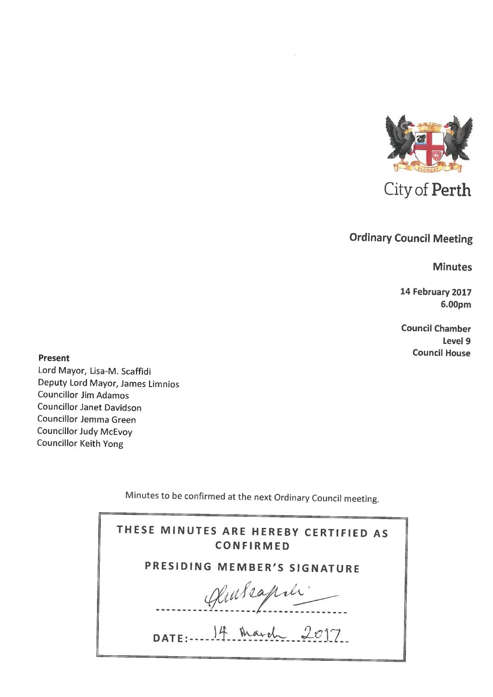

City of Perth

# **Ordinary Council Meeting**

**Minutes** 

14 February 2017 6.00pm

**Council Chamber** Level 9 **Council House** 

**Present** 

Lord Mayor, Lisa-M. Scaffidi Deputy Lord Mayor, James Limnios **Councillor Jim Adamos Councillor Janet Davidson** Councillor Jemma Green **Councillor Judy McEvoy Councillor Keith Yong** 

Minutes to be confirmed at the next Ordinary Council meeting.

| THESE MINUTES ARE HEREBY CERTIFIED AS<br><b>CONFIRMED</b> |
|-----------------------------------------------------------|
| PRESIDING MEMBER'S SIGNATURE                              |
| Hubeapili                                                 |
| DATE: $14$ March 2017                                     |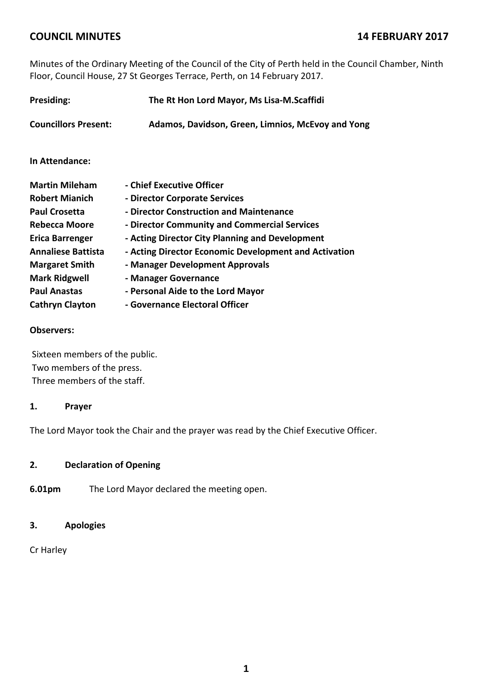Minutes of the Ordinary Meeting of the Council of the City of Perth held in the Council Chamber, Ninth Floor, Council House, 27 St Georges Terrace, Perth, on 14 February 2017.

| <b>Presiding:</b>           | The Rt Hon Lord Mayor, Ms Lisa-M.Scaffidi             |  |
|-----------------------------|-------------------------------------------------------|--|
| <b>Councillors Present:</b> | Adamos, Davidson, Green, Limnios, McEvoy and Yong     |  |
| In Attendance:              |                                                       |  |
| <b>Martin Mileham</b>       | - Chief Executive Officer                             |  |
| <b>Robert Mianich</b>       | - Director Corporate Services                         |  |
| <b>Paul Crosetta</b>        | - Director Construction and Maintenance               |  |
| Rebecca Moore               | - Director Community and Commercial Services          |  |
| <b>Erica Barrenger</b>      | - Acting Director City Planning and Development       |  |
| <b>Annaliese Battista</b>   | - Acting Director Economic Development and Activation |  |
| <b>Margaret Smith</b>       | - Manager Development Approvals                       |  |
| <b>Mark Ridgwell</b>        | - Manager Governance                                  |  |
| <b>Paul Anastas</b>         | - Personal Aide to the Lord Mayor                     |  |
| <b>Cathryn Clayton</b>      | - Governance Electoral Officer                        |  |

#### **Observers:**

Sixteen members of the public. Two members of the press. Three members of the staff.

#### **1. Prayer**

The Lord Mayor took the Chair and the prayer was read by the Chief Executive Officer.

#### **2. Declaration of Opening**

**6.01pm** The Lord Mayor declared the meeting open.

## **3. Apologies**

Cr Harley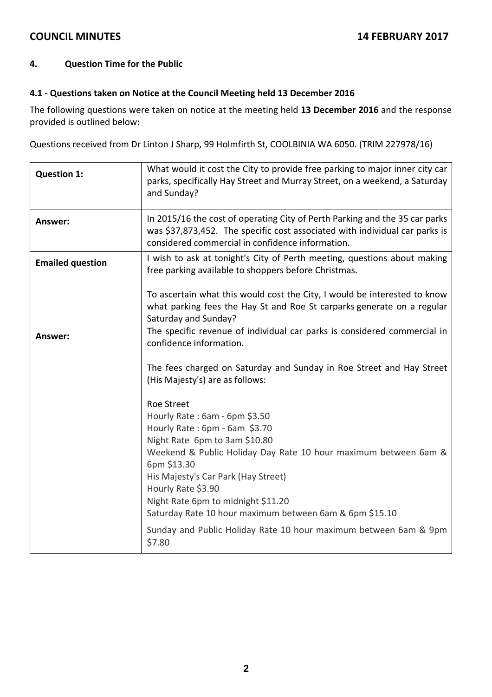#### **4. Question Time for the Public**

#### **4.1 ‐ Questions taken on Notice at the Council Meeting held 13 December 2016**

The following questions were taken on notice at the meeting held **13 December 2016** and the response provided is outlined below:

Questions received from Dr Linton J Sharp, 99 Holmfirth St, COOLBINIA WA 6050. (TRIM 227978/16)

| <b>Question 1:</b>      | What would it cost the City to provide free parking to major inner city car<br>parks, specifically Hay Street and Murray Street, on a weekend, a Saturday<br>and Sunday?                                                                                                                                                                                             |
|-------------------------|----------------------------------------------------------------------------------------------------------------------------------------------------------------------------------------------------------------------------------------------------------------------------------------------------------------------------------------------------------------------|
| Answer:                 | In 2015/16 the cost of operating City of Perth Parking and the 35 car parks<br>was \$37,873,452. The specific cost associated with individual car parks is<br>considered commercial in confidence information.                                                                                                                                                       |
| <b>Emailed question</b> | I wish to ask at tonight's City of Perth meeting, questions about making<br>free parking available to shoppers before Christmas.                                                                                                                                                                                                                                     |
|                         | To ascertain what this would cost the City, I would be interested to know<br>what parking fees the Hay St and Roe St carparks generate on a regular<br>Saturday and Sunday?                                                                                                                                                                                          |
| <b>Answer:</b>          | The specific revenue of individual car parks is considered commercial in<br>confidence information.                                                                                                                                                                                                                                                                  |
|                         | The fees charged on Saturday and Sunday in Roe Street and Hay Street<br>(His Majesty's) are as follows:                                                                                                                                                                                                                                                              |
|                         | <b>Roe Street</b><br>Hourly Rate: 6am - 6pm \$3.50<br>Hourly Rate: 6pm - 6am \$3.70<br>Night Rate 6pm to 3am \$10.80<br>Weekend & Public Holiday Day Rate 10 hour maximum between 6am &<br>6pm \$13.30<br>His Majesty's Car Park (Hay Street)<br>Hourly Rate \$3.90<br>Night Rate 6pm to midnight \$11.20<br>Saturday Rate 10 hour maximum between 6am & 6pm \$15.10 |
|                         | Sunday and Public Holiday Rate 10 hour maximum between 6am & 9pm<br>\$7.80                                                                                                                                                                                                                                                                                           |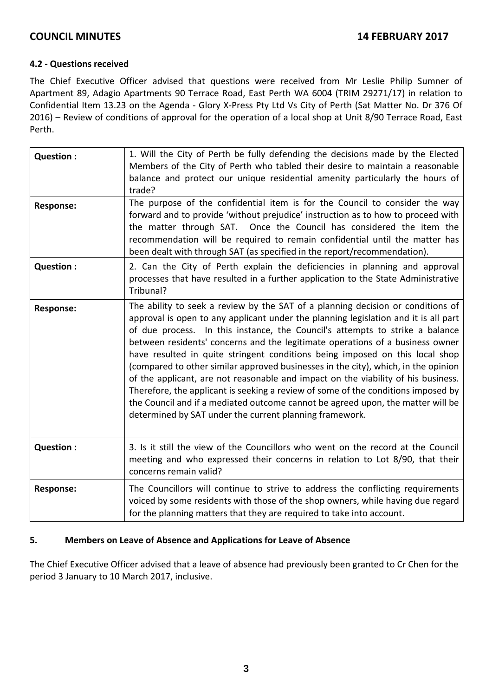#### **4.2 ‐ Questions received**

The Chief Executive Officer advised that questions were received from Mr Leslie Philip Sumner of Apartment 89, Adagio Apartments 90 Terrace Road, East Perth WA 6004 (TRIM 29271/17) in relation to Confidential Item 13.23 on the Agenda ‐ Glory X‐Press Pty Ltd Vs City of Perth (Sat Matter No. Dr 376 Of 2016) – Review of conditions of approval for the operation of a local shop at Unit 8/90 Terrace Road, East Perth.

| Question:        | 1. Will the City of Perth be fully defending the decisions made by the Elected<br>Members of the City of Perth who tabled their desire to maintain a reasonable<br>balance and protect our unique residential amenity particularly the hours of<br>trade?                                                                                                                                                                                                                                                                                                                                                                                                                                                                                                                                                                             |
|------------------|---------------------------------------------------------------------------------------------------------------------------------------------------------------------------------------------------------------------------------------------------------------------------------------------------------------------------------------------------------------------------------------------------------------------------------------------------------------------------------------------------------------------------------------------------------------------------------------------------------------------------------------------------------------------------------------------------------------------------------------------------------------------------------------------------------------------------------------|
| <b>Response:</b> | The purpose of the confidential item is for the Council to consider the way<br>forward and to provide 'without prejudice' instruction as to how to proceed with<br>the matter through SAT. Once the Council has considered the item the<br>recommendation will be required to remain confidential until the matter has<br>been dealt with through SAT (as specified in the report/recommendation).                                                                                                                                                                                                                                                                                                                                                                                                                                    |
| Question :       | 2. Can the City of Perth explain the deficiencies in planning and approval<br>processes that have resulted in a further application to the State Administrative<br>Tribunal?                                                                                                                                                                                                                                                                                                                                                                                                                                                                                                                                                                                                                                                          |
| <b>Response:</b> | The ability to seek a review by the SAT of a planning decision or conditions of<br>approval is open to any applicant under the planning legislation and it is all part<br>of due process. In this instance, the Council's attempts to strike a balance<br>between residents' concerns and the legitimate operations of a business owner<br>have resulted in quite stringent conditions being imposed on this local shop<br>(compared to other similar approved businesses in the city), which, in the opinion<br>of the applicant, are not reasonable and impact on the viability of his business.<br>Therefore, the applicant is seeking a review of some of the conditions imposed by<br>the Council and if a mediated outcome cannot be agreed upon, the matter will be<br>determined by SAT under the current planning framework. |
| Question :       | 3. Is it still the view of the Councillors who went on the record at the Council<br>meeting and who expressed their concerns in relation to Lot 8/90, that their<br>concerns remain valid?                                                                                                                                                                                                                                                                                                                                                                                                                                                                                                                                                                                                                                            |
| <b>Response:</b> | The Councillors will continue to strive to address the conflicting requirements<br>voiced by some residents with those of the shop owners, while having due regard<br>for the planning matters that they are required to take into account.                                                                                                                                                                                                                                                                                                                                                                                                                                                                                                                                                                                           |

#### **5. Members on Leave of Absence and Applications for Leave of Absence**

The Chief Executive Officer advised that a leave of absence had previously been granted to Cr Chen for the period 3 January to 10 March 2017, inclusive.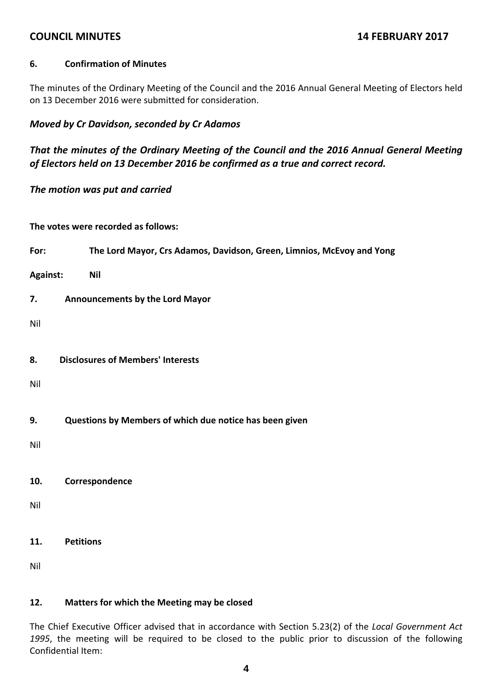#### **6. Confirmation of Minutes**

The minutes of the Ordinary Meeting of the Council and the 2016 Annual General Meeting of Electors held on 13 December 2016 were submitted for consideration.

## *Moved by Cr Davidson, seconded by Cr Adamos*

*That the minutes of the Ordinary Meeting of the Council and the 2016 Annual General Meeting of Electors held on 13 December 2016 be confirmed as a true and correct record.*

*The motion was put and carried*

**The votes were recorded as follows:**

**For: The Lord Mayor, Crs Adamos, Davidson, Green, Limnios, McEvoy and Yong**

**Against: Nil**

**7. Announcements by the Lord Mayor**

Nil

**8. Disclosures of Members' Interests**

Nil

**9. Questions by Members of which due notice has been given**

Nil

**10. Correspondence**

Nil

**11. Petitions**

Nil

#### **12. Matters for which the Meeting may be closed**

The Chief Executive Officer advised that in accordance with Section 5.23(2) of the *Local Government Act 1995*, the meeting will be required to be closed to the public prior to discussion of the following Confidential Item: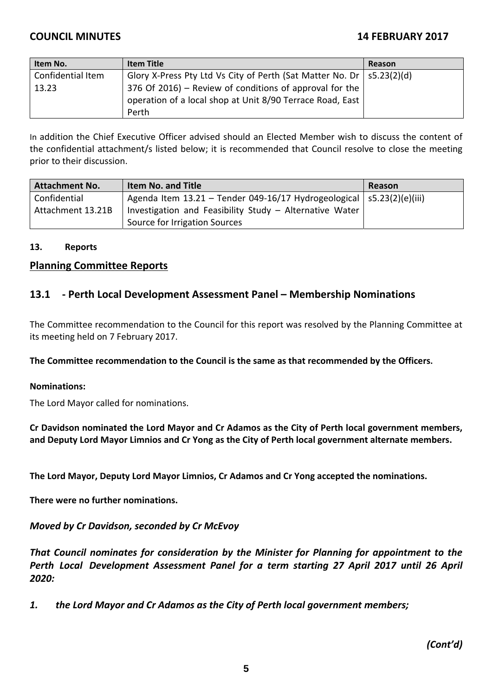| Item No.          | <b>Item Title</b>                                                         | Reason |
|-------------------|---------------------------------------------------------------------------|--------|
| Confidential Item | Glory X-Press Pty Ltd Vs City of Perth (Sat Matter No. Dr $ $ s5.23(2)(d) |        |
| 13.23             | 376 Of 2016) – Review of conditions of approval for the                   |        |
|                   | operation of a local shop at Unit 8/90 Terrace Road, East                 |        |
|                   | Perth                                                                     |        |

In addition the Chief Executive Officer advised should an Elected Member wish to discuss the content of the confidential attachment/s listed below; it is recommended that Council resolve to close the meeting prior to their discussion.

| <b>Attachment No.</b> | <b>Item No. and Title</b>                                                 | Reason |
|-----------------------|---------------------------------------------------------------------------|--------|
| Confidential          | Agenda Item 13.21 – Tender 049-16/17 Hydrogeological $ $ s5.23(2)(e)(iii) |        |
| Attachment 13.21B     | Investigation and Feasibility Study - Alternative Water                   |        |
|                       | Source for Irrigation Sources                                             |        |

#### **13. Reports**

#### **Planning Committee Reports**

## **13.1 ‐ Perth Local Development Assessment Panel – Membership Nominations**

The Committee recommendation to the Council for this report was resolved by the Planning Committee at its meeting held on 7 February 2017.

**The Committee recommendation to the Council is the same as that recommended by the Officers.**

#### **Nominations:**

The Lord Mayor called for nominations.

**Cr Davidson nominated the Lord Mayor and Cr Adamos as the City of Perth local government members, and Deputy Lord Mayor Limnios and Cr Yong as the City of Perth local government alternate members.**

**The Lord Mayor, Deputy Lord Mayor Limnios, Cr Adamos and Cr Yong accepted the nominations.**

**There were no further nominations.**

*Moved by Cr Davidson, seconded by Cr McEvoy*

*That Council nominates for consideration by the Minister for Planning for appointment to the Perth Local Development Assessment Panel for a term starting 27 April 2017 until 26 April 2020:*

*1. the Lord Mayor and Cr Adamos as the City of Perth local government members;*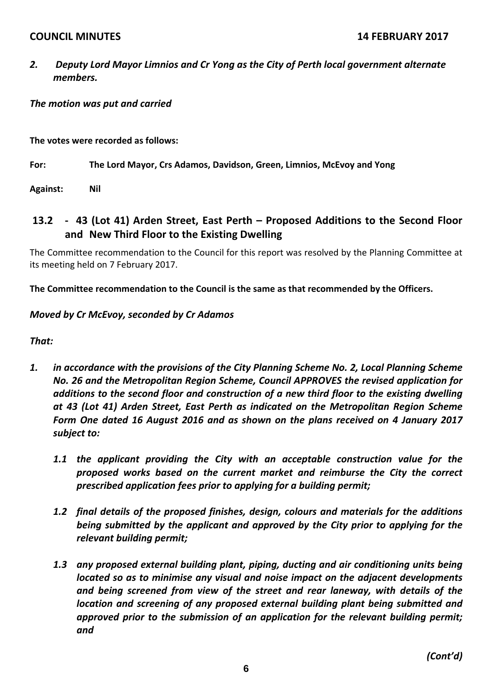*2. Deputy Lord Mayor Limnios and Cr Yong as the City of Perth local government alternate members.*

# *The motion was put and carried*

**The votes were recorded as follows:**

**For: The Lord Mayor, Crs Adamos, Davidson, Green, Limnios, McEvoy and Yong**

**Against: Nil**

# **13.2 ‐ 43 (Lot 41) Arden Street, East Perth – Proposed Additions to the Second Floor and New Third Floor to the Existing Dwelling**

The Committee recommendation to the Council for this report was resolved by the Planning Committee at its meeting held on 7 February 2017.

**The Committee recommendation to the Council is the same as that recommended by the Officers.**

# *Moved by Cr McEvoy, seconded by Cr Adamos*

*That:*

- *1. in accordance with the provisions of the City Planning Scheme No. 2, Local Planning Scheme No. 26 and the Metropolitan Region Scheme, Council APPROVES the revised application for additions to the second floor and construction of a new third floor to the existing dwelling at 43 (Lot 41) Arden Street, East Perth as indicated on the Metropolitan Region Scheme Form One dated 16 August 2016 and as shown on the plans received on 4 January 2017 subject to:*
	- *1.1 the applicant providing the City with an acceptable construction value for the proposed works based on the current market and reimburse the City the correct prescribed application fees prior to applying for a building permit;*
	- *1.2 final details of the proposed finishes, design, colours and materials for the additions being submitted by the applicant and approved by the City prior to applying for the relevant building permit;*
	- *1.3 any proposed external building plant, piping, ducting and air conditioning units being located so as to minimise any visual and noise impact on the adjacent developments and being screened from view of the street and rear laneway, with details of the location and screening of any proposed external building plant being submitted and approved prior to the submission of an application for the relevant building permit; and*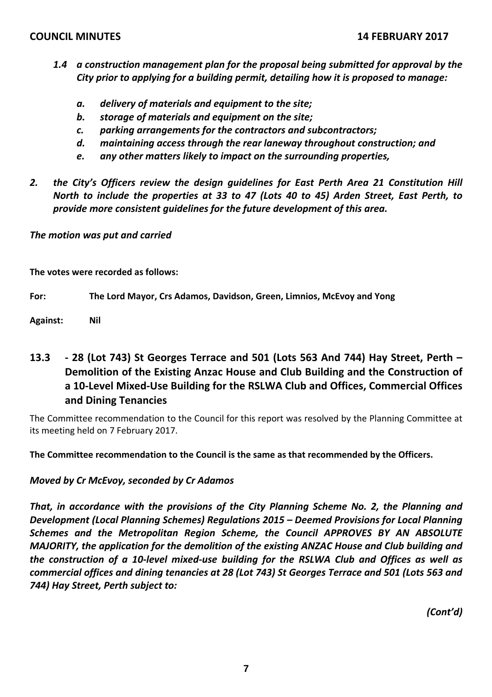- *1.4 a construction management plan for the proposal being submitted for approval by the City prior to applying for a building permit, detailing how it is proposed to manage:*
	- *a. delivery of materials and equipment to the site;*
	- *b. storage of materials and equipment on the site;*
	- *c. parking arrangements for the contractors and subcontractors;*
	- *d. maintaining access through the rear laneway throughout construction; and*
	- *e. any other matters likely to impact on the surrounding properties,*
- *2. the City's Officers review the design guidelines for East Perth Area 21 Constitution Hill North to include the properties at 33 to 47 (Lots 40 to 45) Arden Street, East Perth, to provide more consistent guidelines for the future development of this area.*

*The motion was put and carried*

**The votes were recorded as follows:**

**For: The Lord Mayor, Crs Adamos, Davidson, Green, Limnios, McEvoy and Yong**

**Against: Nil**

# **13.3 ‐ 28 (Lot 743) St Georges Terrace and 501 (Lots 563 And 744) Hay Street, Perth – Demolition of the Existing Anzac House and Club Building and the Construction of a 10‐Level Mixed‐Use Building for the RSLWA Club and Offices, Commercial Offices and Dining Tenancies**

The Committee recommendation to the Council for this report was resolved by the Planning Committee at its meeting held on 7 February 2017.

**The Committee recommendation to the Council is the same as that recommended by the Officers.**

*Moved by Cr McEvoy, seconded by Cr Adamos*

*That, in accordance with the provisions of the City Planning Scheme No. 2, the Planning and Development (Local Planning Schemes) Regulations 2015 – Deemed Provisions for Local Planning Schemes and the Metropolitan Region Scheme, the Council APPROVES BY AN ABSOLUTE MAJORITY, the application for the demolition of the existing ANZAC House and Club building and* the construction of a 10-level mixed-use building for the RSLWA Club and Offices as well as *commercial offices and dining tenancies at 28 (Lot 743) St Georges Terrace and 501 (Lots 563 and 744) Hay Street, Perth subject to:*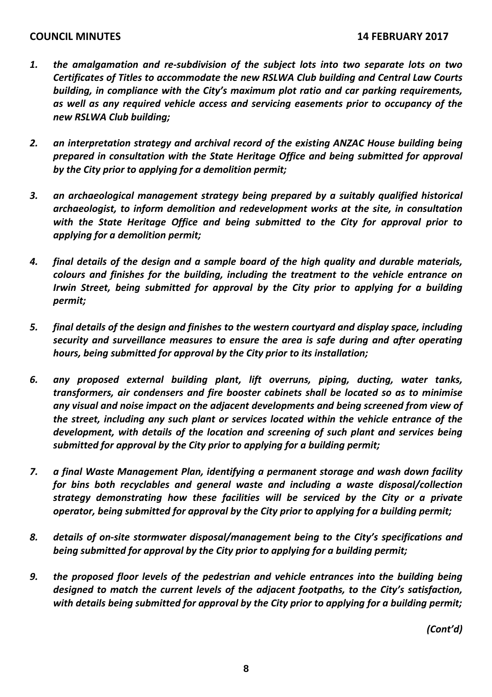- *1. the amalgamation and re‐subdivision of the subject lots into two separate lots on two Certificates of Titles to accommodate the new RSLWA Club building and Central Law Courts building, in compliance with the City's maximum plot ratio and car parking requirements, as well as any required vehicle access and servicing easements prior to occupancy of the new RSLWA Club building;*
- *2. an interpretation strategy and archival record of the existing ANZAC House building being prepared in consultation with the State Heritage Office and being submitted for approval by the City prior to applying for a demolition permit;*
- *3. an archaeological management strategy being prepared by a suitably qualified historical archaeologist, to inform demolition and redevelopment works at the site, in consultation with the State Heritage Office and being submitted to the City for approval prior to applying for a demolition permit;*
- *4. final details of the design and a sample board of the high quality and durable materials, colours and finishes for the building, including the treatment to the vehicle entrance on Irwin Street, being submitted for approval by the City prior to applying for a building permit;*
- *5. final details of the design and finishes to the western courtyard and display space, including security and surveillance measures to ensure the area is safe during and after operating hours, being submitted for approval by the City prior to its installation;*
- *6. any proposed external building plant, lift overruns, piping, ducting, water tanks, transformers, air condensers and fire booster cabinets shall be located so as to minimise any visual and noise impact on the adjacent developments and being screened from view of the street, including any such plant or services located within the vehicle entrance of the development, with details of the location and screening of such plant and services being submitted for approval by the City prior to applying for a building permit;*
- *7. a final Waste Management Plan, identifying a permanent storage and wash down facility for bins both recyclables and general waste and including a waste disposal/collection strategy demonstrating how these facilities will be serviced by the City or a private operator, being submitted for approval by the City prior to applying for a building permit;*
- *8. details of on‐site stormwater disposal/management being to the City's specifications and being submitted for approval by the City prior to applying for a building permit;*
- *9. the proposed floor levels of the pedestrian and vehicle entrances into the building being designed to match the current levels of the adjacent footpaths, to the City's satisfaction, with details being submitted for approval by the City prior to applying for a building permit;*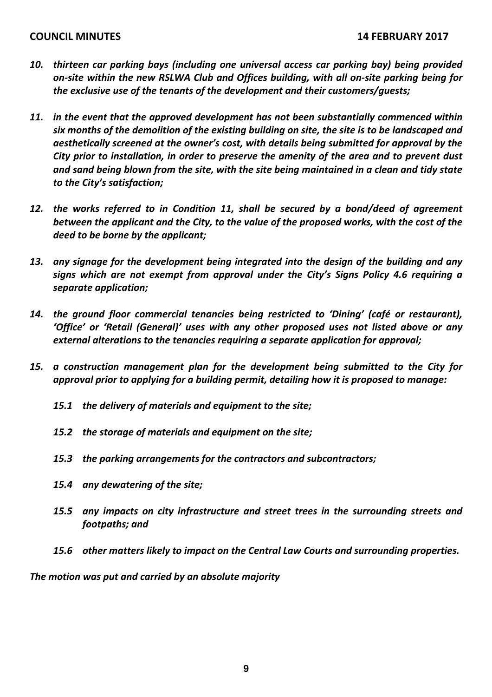- *10. thirteen car parking bays (including one universal access car parking bay) being provided on‐site within the new RSLWA Club and Offices building, with all on‐site parking being for the exclusive use of the tenants of the development and their customers/guests;*
- *11. in the event that the approved development has not been substantially commenced within six months of the demolition of the existing building on site, the site is to be landscaped and aesthetically screened at the owner's cost, with details being submitted for approval by the City prior to installation, in order to preserve the amenity of the area and to prevent dust and sand being blown from the site, with the site being maintained in a clean and tidy state to the City's satisfaction;*
- *12. the works referred to in Condition 11, shall be secured by a bond/deed of agreement between the applicant and the City, to the value of the proposed works, with the cost of the deed to be borne by the applicant;*
- *13. any signage for the development being integrated into the design of the building and any signs which are not exempt from approval under the City's Signs Policy 4.6 requiring a separate application;*
- *14. the ground floor commercial tenancies being restricted to 'Dining' (café or restaurant), 'Office' or 'Retail (General)' uses with any other proposed uses not listed above or any external alterations to the tenancies requiring a separate application for approval;*
- *15. a construction management plan for the development being submitted to the City for approval prior to applying for a building permit, detailing how it is proposed to manage:* 
	- *15.1 the delivery of materials and equipment to the site;*
	- *15.2 the storage of materials and equipment on the site;*
	- *15.3 the parking arrangements for the contractors and subcontractors;*
	- *15.4 any dewatering of the site;*
	- *15.5 any impacts on city infrastructure and street trees in the surrounding streets and footpaths; and*
	- *15.6 other matters likely to impact on the Central Law Courts and surrounding properties.*

*The motion was put and carried by an absolute majority*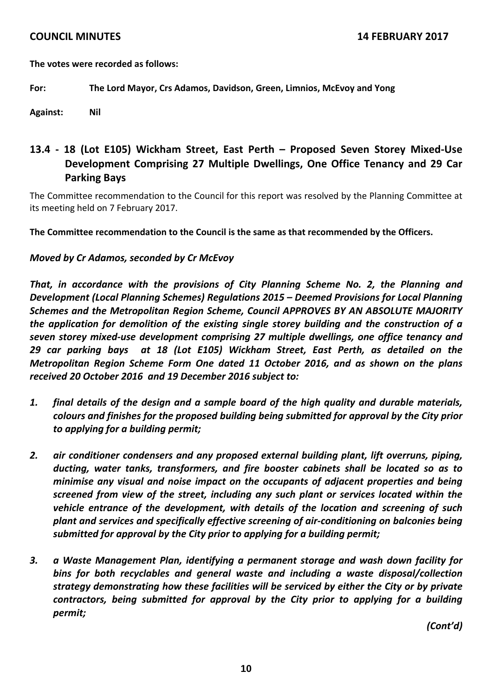**The votes were recorded as follows:**

#### **For: The Lord Mayor, Crs Adamos, Davidson, Green, Limnios, McEvoy and Yong**

**Against: Nil**

# **13.4 ‐ 18 (Lot E105) Wickham Street, East Perth – Proposed Seven Storey Mixed‐Use Development Comprising 27 Multiple Dwellings, One Office Tenancy and 29 Car Parking Bays**

The Committee recommendation to the Council for this report was resolved by the Planning Committee at its meeting held on 7 February 2017.

**The Committee recommendation to the Council is the same as that recommended by the Officers.**

#### *Moved by Cr Adamos, seconded by Cr McEvoy*

*That, in accordance with the provisions of City Planning Scheme No. 2, the Planning and Development (Local Planning Schemes) Regulations 2015 – Deemed Provisions for Local Planning Schemes and the Metropolitan Region Scheme, Council APPROVES BY AN ABSOLUTE MAJORITY the application for demolition of the existing single storey building and the construction of a seven storey mixed‐use development comprising 27 multiple dwellings, one office tenancy and 29 car parking bays at 18 (Lot E105) Wickham Street, East Perth, as detailed on the Metropolitan Region Scheme Form One dated 11 October 2016, and as shown on the plans received 20 October 2016 and 19 December 2016 subject to:*

- *1. final details of the design and a sample board of the high quality and durable materials, colours and finishes for the proposed building being submitted for approval by the City prior to applying for a building permit;*
- *2. air conditioner condensers and any proposed external building plant, lift overruns, piping, ducting, water tanks, transformers, and fire booster cabinets shall be located so as to minimise any visual and noise impact on the occupants of adjacent properties and being screened from view of the street, including any such plant or services located within the vehicle entrance of the development, with details of the location and screening of such plant and services and specifically effective screening of air‐conditioning on balconies being submitted for approval by the City prior to applying for a building permit;*
- *3. a Waste Management Plan, identifying a permanent storage and wash down facility for bins for both recyclables and general waste and including a waste disposal/collection strategy demonstrating how these facilities will be serviced by either the City or by private contractors, being submitted for approval by the City prior to applying for a building permit;*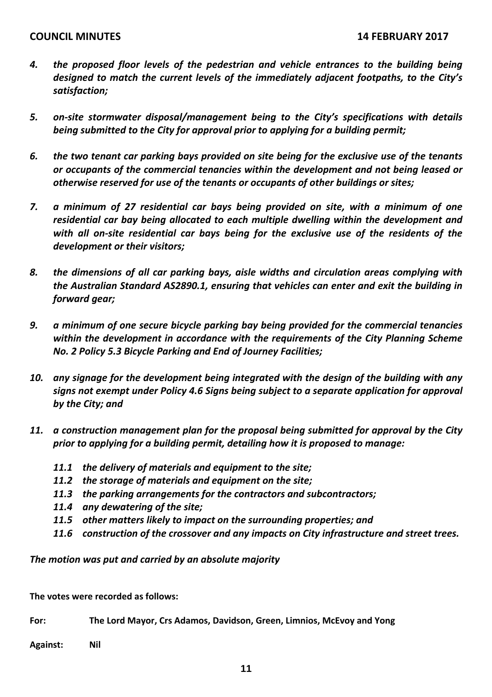- *4. the proposed floor levels of the pedestrian and vehicle entrances to the building being designed to match the current levels of the immediately adjacent footpaths, to the City's satisfaction;*
- *5. on‐site stormwater disposal/management being to the City's specifications with details being submitted to the City for approval prior to applying for a building permit;*
- *6. the two tenant car parking bays provided on site being for the exclusive use of the tenants or occupants of the commercial tenancies within the development and not being leased or otherwise reserved for use of the tenants or occupants of other buildings or sites;*
- *7. a minimum of 27 residential car bays being provided on site, with a minimum of one residential car bay being allocated to each multiple dwelling within the development and with all on‐site residential car bays being for the exclusive use of the residents of the development or their visitors;*
- *8. the dimensions of all car parking bays, aisle widths and circulation areas complying with the Australian Standard AS2890.1, ensuring that vehicles can enter and exit the building in forward gear;*
- *9. a minimum of one secure bicycle parking bay being provided for the commercial tenancies within the development in accordance with the requirements of the City Planning Scheme No. 2 Policy 5.3 Bicycle Parking and End of Journey Facilities;*
- *10. any signage for the development being integrated with the design of the building with any signs not exempt under Policy 4.6 Signs being subject to a separate application for approval by the City; and*
- *11. a construction management plan for the proposal being submitted for approval by the City prior to applying for a building permit, detailing how it is proposed to manage:*
	- *11.1 the delivery of materials and equipment to the site;*
	- *11.2 the storage of materials and equipment on the site;*
	- *11.3 the parking arrangements for the contractors and subcontractors;*
	- *11.4 any dewatering of the site;*
	- *11.5 other matters likely to impact on the surrounding properties; and*
	- *11.6 construction of the crossover and any impacts on City infrastructure and street trees.*

*The motion was put and carried by an absolute majority*

**The votes were recorded as follows:**

**For: The Lord Mayor, Crs Adamos, Davidson, Green, Limnios, McEvoy and Yong**

**Against: Nil**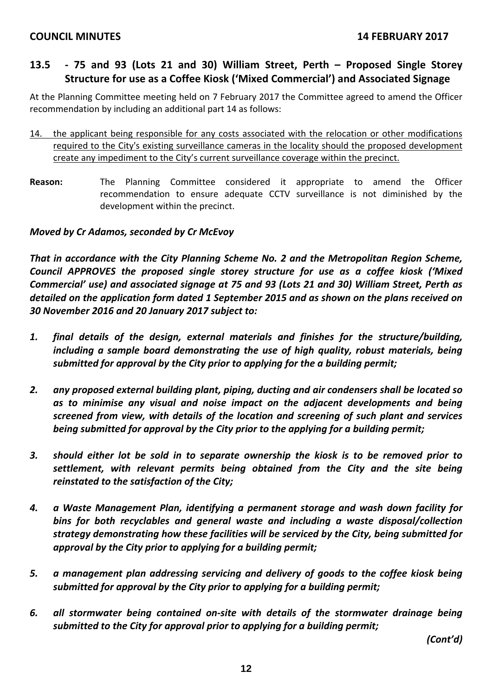# **13.5 ‐ 75 and 93 (Lots 21 and 30) William Street, Perth – Proposed Single Storey Structure for use as a Coffee Kiosk ('Mixed Commercial') and Associated Signage**

At the Planning Committee meeting held on 7 February 2017 the Committee agreed to amend the Officer recommendation by including an additional part 14 as follows:

- 14. the applicant being responsible for any costs associated with the relocation or other modifications required to the City's existing surveillance cameras in the locality should the proposed development create any impediment to the City's current surveillance coverage within the precinct.
- **Reason:** The Planning Committee considered it appropriate to amend the Officer recommendation to ensure adequate CCTV surveillance is not diminished by the development within the precinct.

# *Moved by Cr Adamos, seconded by Cr McEvoy*

*That in accordance with the City Planning Scheme No. 2 and the Metropolitan Region Scheme, Council APPROVES the proposed single storey structure for use as a coffee kiosk ('Mixed Commercial' use) and associated signage at 75 and 93 (Lots 21 and 30) William Street, Perth as detailed on the application form dated 1 September 2015 and as shown on the plans received on 30 November 2016 and 20 January 2017 subject to:*

- *1. final details of the design, external materials and finishes for the structure/building, including a sample board demonstrating the use of high quality, robust materials, being submitted for approval by the City prior to applying for the a building permit;*
- *2. any proposed external building plant, piping, ducting and air condensers shall be located so as to minimise any visual and noise impact on the adjacent developments and being screened from view, with details of the location and screening of such plant and services being submitted for approval by the City prior to the applying for a building permit;*
- *3. should either lot be sold in to separate ownership the kiosk is to be removed prior to settlement, with relevant permits being obtained from the City and the site being reinstated to the satisfaction of the City;*
- *4. a Waste Management Plan, identifying a permanent storage and wash down facility for bins for both recyclables and general waste and including a waste disposal/collection strategy demonstrating how these facilities will be serviced by the City, being submitted for approval by the City prior to applying for a building permit;*
- *5. a management plan addressing servicing and delivery of goods to the coffee kiosk being submitted for approval by the City prior to applying for a building permit;*
- *6. all stormwater being contained on‐site with details of the stormwater drainage being submitted to the City for approval prior to applying for a building permit;*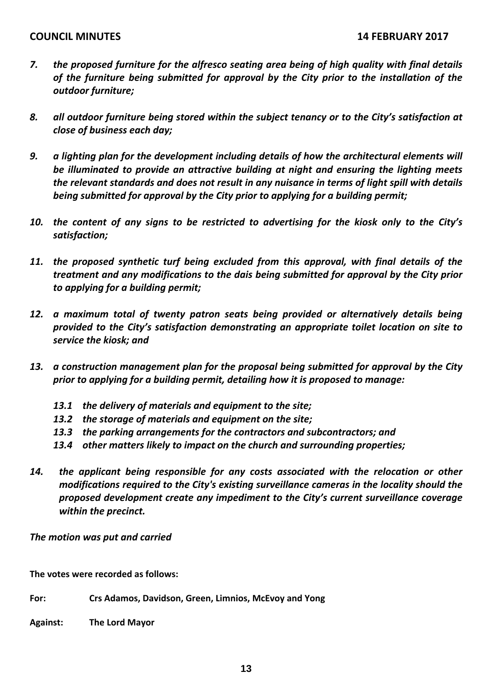- *7. the proposed furniture for the alfresco seating area being of high quality with final details of the furniture being submitted for approval by the City prior to the installation of the outdoor furniture;*
- *8. all outdoor furniture being stored within the subject tenancy or to the City's satisfaction at close of business each day;*
- *9. a lighting plan for the development including details of how the architectural elements will be illuminated to provide an attractive building at night and ensuring the lighting meets the relevant standards and does not result in any nuisance in terms of light spill with details being submitted for approval by the City prior to applying for a building permit;*
- 10. the content of any signs to be restricted to advertising for the kiosk only to the City's *satisfaction;*
- *11. the proposed synthetic turf being excluded from this approval, with final details of the treatment and any modifications to the dais being submitted for approval by the City prior to applying for a building permit;*
- *12. a maximum total of twenty patron seats being provided or alternatively details being provided to the City's satisfaction demonstrating an appropriate toilet location on site to service the kiosk; and*
- *13. a construction management plan for the proposal being submitted for approval by the City prior to applying for a building permit, detailing how it is proposed to manage:*
	- *13.1 the delivery of materials and equipment to the site;*
	- *13.2 the storage of materials and equipment on the site;*
	- *13.3 the parking arrangements for the contractors and subcontractors; and*
	- *13.4 other matters likely to impact on the church and surrounding properties;*
- *14. the applicant being responsible for any costs associated with the relocation or other modifications required to the City's existing surveillance cameras in the locality should the proposed development create any impediment to the City's current surveillance coverage within the precinct.*

*The motion was put and carried*

**The votes were recorded as follows:**

**For: Crs Adamos, Davidson, Green, Limnios, McEvoy and Yong**

**Against: The Lord Mayor**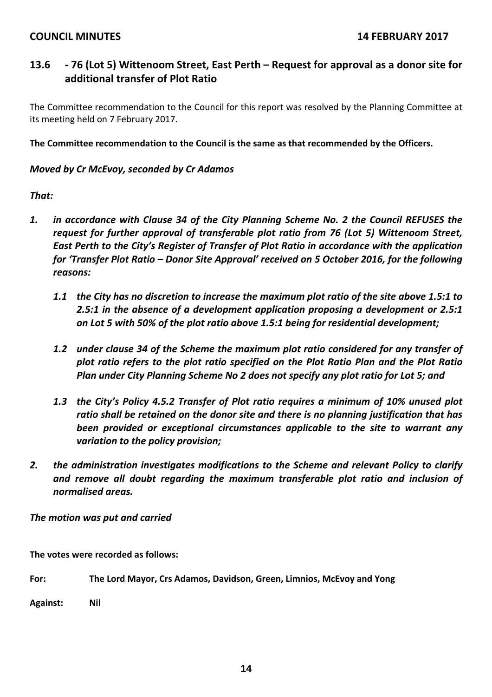# **13.6 ‐ 76 (Lot 5) Wittenoom Street, East Perth – Request for approval as a donor site for additional transfer of Plot Ratio**

The Committee recommendation to the Council for this report was resolved by the Planning Committee at its meeting held on 7 February 2017.

**The Committee recommendation to the Council is the same as that recommended by the Officers.**

## *Moved by Cr McEvoy, seconded by Cr Adamos*

## *That:*

- *1. in accordance with Clause 34 of the City Planning Scheme No. 2 the Council REFUSES the request for further approval of transferable plot ratio from 76 (Lot 5) Wittenoom Street, East Perth to the City's Register of Transfer of Plot Ratio in accordance with the application for 'Transfer Plot Ratio – Donor Site Approval' received on 5 October 2016, for the following reasons:*
	- 1.1 the City has no discretion to increase the maximum plot ratio of the site above 1.5:1 to *2.5:1 in the absence of a development application proposing a development or 2.5:1 on Lot 5 with 50% of the plot ratio above 1.5:1 being for residential development;*
	- *1.2 under clause 34 of the Scheme the maximum plot ratio considered for any transfer of plot ratio refers to the plot ratio specified on the Plot Ratio Plan and the Plot Ratio Plan under City Planning Scheme No 2 does not specify any plot ratio for Lot 5; and*
	- *1.3 the City's Policy 4.5.2 Transfer of Plot ratio requires a minimum of 10% unused plot ratio shall be retained on the donor site and there is no planning justification that has been provided or exceptional circumstances applicable to the site to warrant any variation to the policy provision;*
- *2. the administration investigates modifications to the Scheme and relevant Policy to clarify and remove all doubt regarding the maximum transferable plot ratio and inclusion of normalised areas.*

*The motion was put and carried*

**The votes were recorded as follows:**

**For: The Lord Mayor, Crs Adamos, Davidson, Green, Limnios, McEvoy and Yong**

**Against: Nil**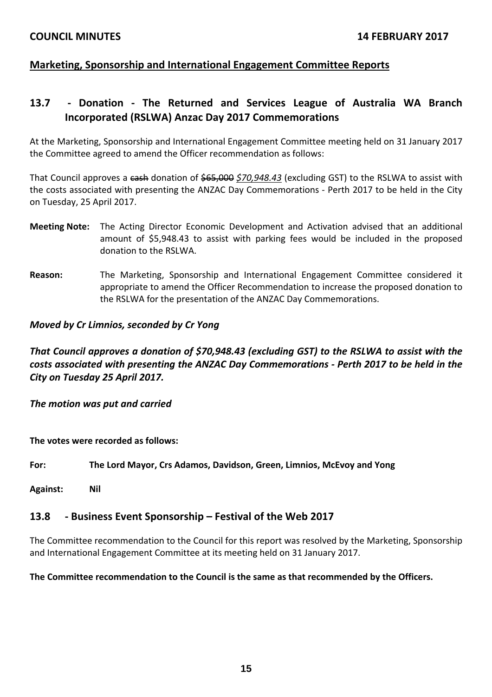# **Marketing, Sponsorship and International Engagement Committee Reports**

# **13.7 ‐ Donation ‐ The Returned and Services League of Australia WA Branch Incorporated (RSLWA) Anzac Day 2017 Commemorations**

At the Marketing, Sponsorship and International Engagement Committee meeting held on 31 January 2017 the Committee agreed to amend the Officer recommendation as follows:

That Council approves a cash donation of \$65,000 *\$70,948.43* (excluding GST) to the RSLWA to assist with the costs associated with presenting the ANZAC Day Commemorations ‐ Perth 2017 to be held in the City on Tuesday, 25 April 2017.

- **Meeting Note:** The Acting Director Economic Development and Activation advised that an additional amount of \$5,948.43 to assist with parking fees would be included in the proposed donation to the RSLWA.
- **Reason:** The Marketing, Sponsorship and International Engagement Committee considered it appropriate to amend the Officer Recommendation to increase the proposed donation to the RSLWA for the presentation of the ANZAC Day Commemorations.

*Moved by Cr Limnios, seconded by Cr Yong*

*That Council approves a donation of \$70,948.43 (excluding GST) to the RSLWA to assist with the costs associated with presenting the ANZAC Day Commemorations ‐ Perth 2017 to be held in the City on Tuesday 25 April 2017.*

*The motion was put and carried*

**The votes were recorded as follows:**

**For: The Lord Mayor, Crs Adamos, Davidson, Green, Limnios, McEvoy and Yong**

**Against: Nil**

#### **13.8 ‐ Business Event Sponsorship – Festival of the Web 2017**

The Committee recommendation to the Council for this report was resolved by the Marketing, Sponsorship and International Engagement Committee at its meeting held on 31 January 2017.

**The Committee recommendation to the Council is the same as that recommended by the Officers.**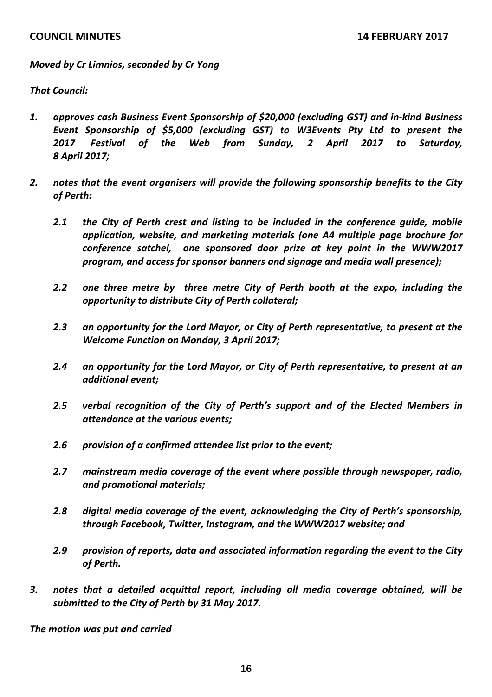*Moved by Cr Limnios, seconded by Cr Yong*

*That Council:*

- *1. approves cash Business Event Sponsorship of \$20,000 (excluding GST) and in‐kind Business Event Sponsorship of \$5,000 (excluding GST) to W3Events Pty Ltd to present the 2017 Festival of the Web from Sunday, 2 April 2017 to Saturday, 8 April 2017;*
- *2. notes that the event organisers will provide the following sponsorship benefits to the City of Perth:* 
	- *2.1 the City of Perth crest and listing to be included in the conference guide, mobile application, website, and marketing materials (one A4 multiple page brochure for conference satchel, one sponsored door prize at key point in the WWW2017 program, and access for sponsor banners and signage and media wall presence);*
	- *2.2 one three metre by three metre City of Perth booth at the expo, including the opportunity to distribute City of Perth collateral;*
	- *2.3 an opportunity for the Lord Mayor, or City of Perth representative, to present at the Welcome Function on Monday, 3 April 2017;*
	- *2.4 an opportunity for the Lord Mayor, or City of Perth representative, to present at an additional event;*
	- *2.5 verbal recognition of the City of Perth's support and of the Elected Members in attendance at the various events;*
	- *2.6 provision of a confirmed attendee list prior to the event;*
	- *2.7 mainstream media coverage of the event where possible through newspaper, radio, and promotional materials;*
	- *2.8 digital media coverage of the event, acknowledging the City of Perth's sponsorship, through Facebook, Twitter, Instagram, and the WWW2017 website; and*
	- *2.9 provision of reports, data and associated information regarding the event to the City of Perth.*
- *3. notes that a detailed acquittal report, including all media coverage obtained, will be submitted to the City of Perth by 31 May 2017.*

*The motion was put and carried*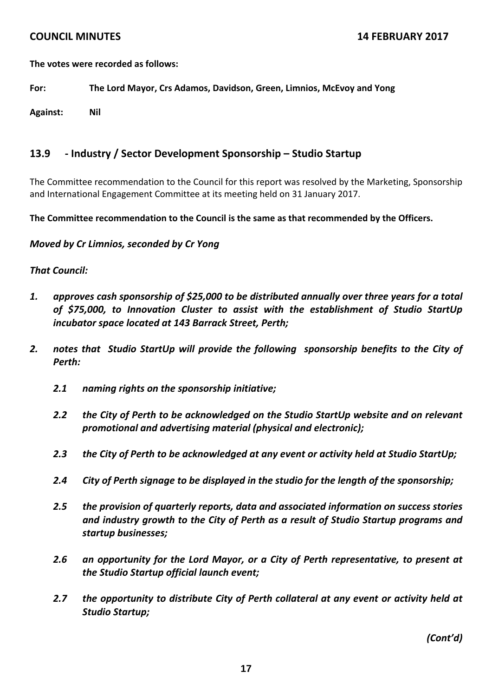**The votes were recorded as follows:**

**For: The Lord Mayor, Crs Adamos, Davidson, Green, Limnios, McEvoy and Yong**

**Against: Nil**

# **13.9 ‐ Industry / Sector Development Sponsorship – Studio Startup**

The Committee recommendation to the Council for this report was resolved by the Marketing, Sponsorship and International Engagement Committee at its meeting held on 31 January 2017.

**The Committee recommendation to the Council is the same as that recommended by the Officers.**

*Moved by Cr Limnios, seconded by Cr Yong*

## *That Council:*

- *1. approves cash sponsorship of \$25,000 to be distributed annually over three years for a total of \$75,000, to Innovation Cluster to assist with the establishment of Studio StartUp incubator space located at 143 Barrack Street, Perth;*
- *2. notes that Studio StartUp will provide the following sponsorship benefits to the City of Perth:*
	- *2.1 naming rights on the sponsorship initiative;*
	- *2.2 the City of Perth to be acknowledged on the Studio StartUp website and on relevant promotional and advertising material (physical and electronic);*
	- *2.3 the City of Perth to be acknowledged at any event or activity held at Studio StartUp;*
	- *2.4 City of Perth signage to be displayed in the studio for the length of the sponsorship;*
	- *2.5 the provision of quarterly reports, data and associated information on success stories and industry growth to the City of Perth as a result of Studio Startup programs and startup businesses;*
	- *2.6 an opportunity for the Lord Mayor, or a City of Perth representative, to present at the Studio Startup official launch event;*
	- *2.7 the opportunity to distribute City of Perth collateral at any event or activity held at Studio Startup;*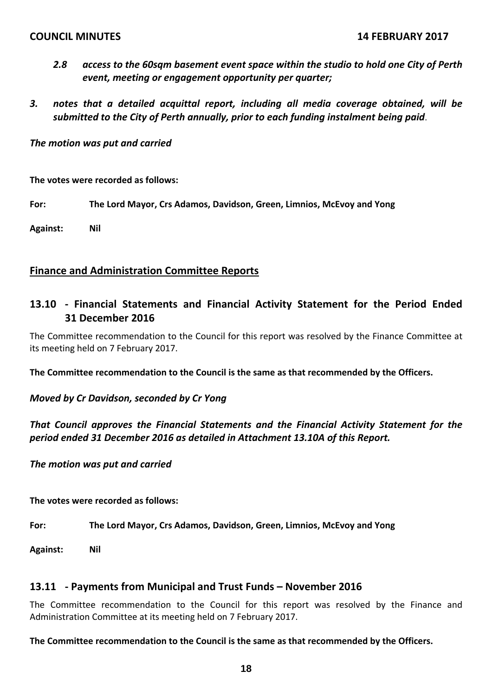- *2.8 access to the 60sqm basement event space within the studio to hold one City of Perth event, meeting or engagement opportunity per quarter;*
- *3. notes that a detailed acquittal report, including all media coverage obtained, will be submitted to the City of Perth annually, prior to each funding instalment being paid*.

*The motion was put and carried*

**The votes were recorded as follows:**

**For: The Lord Mayor, Crs Adamos, Davidson, Green, Limnios, McEvoy and Yong**

**Against: Nil**

#### **Finance and Administration Committee Reports**

# **13.10 ‐ Financial Statements and Financial Activity Statement for the Period Ended 31 December 2016**

The Committee recommendation to the Council for this report was resolved by the Finance Committee at its meeting held on 7 February 2017.

**The Committee recommendation to the Council is the same as that recommended by the Officers.**

*Moved by Cr Davidson, seconded by Cr Yong*

*That Council approves the Financial Statements and the Financial Activity Statement for the period ended 31 December 2016 as detailed in Attachment 13.10A of this Report.*

*The motion was put and carried*

**The votes were recorded as follows:**

**For: The Lord Mayor, Crs Adamos, Davidson, Green, Limnios, McEvoy and Yong**

**Against: Nil**

#### **13.11 ‐ Payments from Municipal and Trust Funds – November 2016**

The Committee recommendation to the Council for this report was resolved by the Finance and Administration Committee at its meeting held on 7 February 2017.

#### **The Committee recommendation to the Council is the same as that recommended by the Officers.**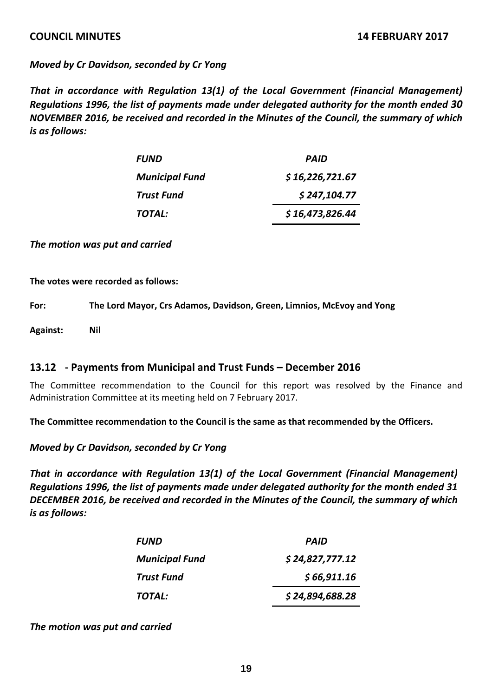*Moved by Cr Davidson, seconded by Cr Yong*

*That in accordance with Regulation 13(1) of the Local Government (Financial Management) Regulations 1996, the list of payments made under delegated authority for the month ended 30 NOVEMBER 2016, be received and recorded in the Minutes of the Council, the summary of which is as follows:*

| <b>FUND</b>           | <b>PAID</b>     |
|-----------------------|-----------------|
| <b>Municipal Fund</b> | \$16,226,721.67 |
| <b>Trust Fund</b>     | \$247,104.77    |
| TOTAL:                | \$16,473,826.44 |

*The motion was put and carried*

**The votes were recorded as follows:**

**For: The Lord Mayor, Crs Adamos, Davidson, Green, Limnios, McEvoy and Yong**

**Against: Nil**

#### **13.12 ‐ Payments from Municipal and Trust Funds – December 2016**

The Committee recommendation to the Council for this report was resolved by the Finance and Administration Committee at its meeting held on 7 February 2017.

**The Committee recommendation to the Council is the same as that recommended by the Officers.**

*Moved by Cr Davidson, seconded by Cr Yong*

*That in accordance with Regulation 13(1) of the Local Government (Financial Management) Regulations 1996, the list of payments made under delegated authority for the month ended 31 DECEMBER 2016, be received and recorded in the Minutes of the Council, the summary of which is as follows:*

| <b>FUND</b>           | PAID            |
|-----------------------|-----------------|
| <b>Municipal Fund</b> | \$24,827,777.12 |
| <b>Trust Fund</b>     | \$66,911.16     |
| TOTAL:                | \$24,894,688.28 |

*The motion was put and carried*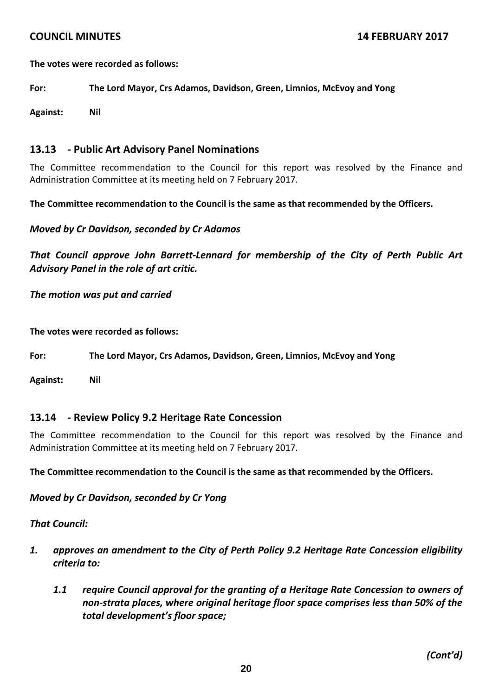**The votes were recorded as follows:**

**For: The Lord Mayor, Crs Adamos, Davidson, Green, Limnios, McEvoy and Yong**

**Against: Nil**

## **13.13 ‐ Public Art Advisory Panel Nominations**

The Committee recommendation to the Council for this report was resolved by the Finance and Administration Committee at its meeting held on 7 February 2017.

**The Committee recommendation to the Council is the same as that recommended by the Officers.**

*Moved by Cr Davidson, seconded by Cr Adamos*

*That Council approve John Barrett‐Lennard for membership of the City of Perth Public Art Advisory Panel in the role of art critic.*

*The motion was put and carried*

**The votes were recorded as follows:**

**For: The Lord Mayor, Crs Adamos, Davidson, Green, Limnios, McEvoy and Yong**

**Against: Nil**

#### **13.14 ‐ Review Policy 9.2 Heritage Rate Concession**

The Committee recommendation to the Council for this report was resolved by the Finance and Administration Committee at its meeting held on 7 February 2017.

**The Committee recommendation to the Council is the same as that recommended by the Officers.**

*Moved by Cr Davidson, seconded by Cr Yong*

#### *That Council:*

- *1. approves an amendment to the City of Perth Policy 9.2 Heritage Rate Concession eligibility criteria to:*
	- *1.1 require Council approval for the granting of a Heritage Rate Concession to owners of non‐strata places, where original heritage floor space comprises less than 50% of the total development's floor space;*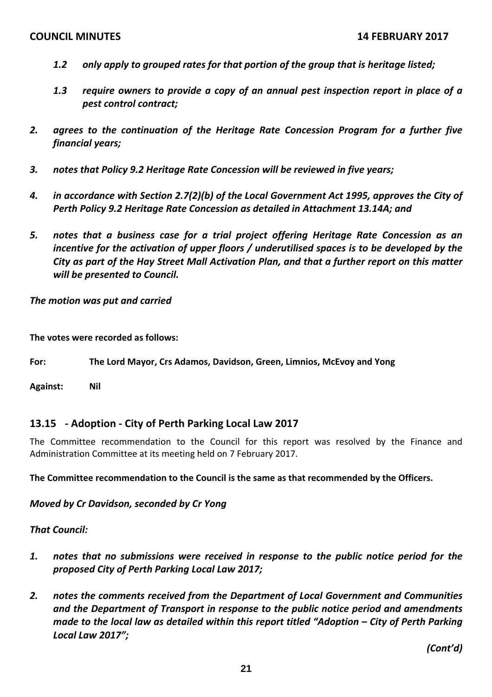- *1.2 only apply to grouped rates for that portion of the group that is heritage listed;*
- *1.3 require owners to provide a copy of an annual pest inspection report in place of a pest control contract;*
- *2. agrees to the continuation of the Heritage Rate Concession Program for a further five financial years;*
- *3. notes that Policy 9.2 Heritage Rate Concession will be reviewed in five years;*
- *4. in accordance with Section 2.7(2)(b) of the Local Government Act 1995, approves the City of Perth Policy 9.2 Heritage Rate Concession as detailed in Attachment 13.14A; and*
- *5. notes that a business case for a trial project offering Heritage Rate Concession as an incentive for the activation of upper floors / underutilised spaces is to be developed by the City as part of the Hay Street Mall Activation Plan, and that a further report on this matter will be presented to Council.*

*The motion was put and carried*

**The votes were recorded as follows:**

**For: The Lord Mayor, Crs Adamos, Davidson, Green, Limnios, McEvoy and Yong**

**Against: Nil**

# **13.15 ‐ Adoption ‐ City of Perth Parking Local Law 2017**

The Committee recommendation to the Council for this report was resolved by the Finance and Administration Committee at its meeting held on 7 February 2017.

**The Committee recommendation to the Council is the same as that recommended by the Officers.**

*Moved by Cr Davidson, seconded by Cr Yong*

*That Council:*

- *1. notes that no submissions were received in response to the public notice period for the proposed City of Perth Parking Local Law 2017;*
- *2. notes the comments received from the Department of Local Government and Communities and the Department of Transport in response to the public notice period and amendments made to the local law as detailed within this report titled "Adoption – City of Perth Parking Local Law 2017";*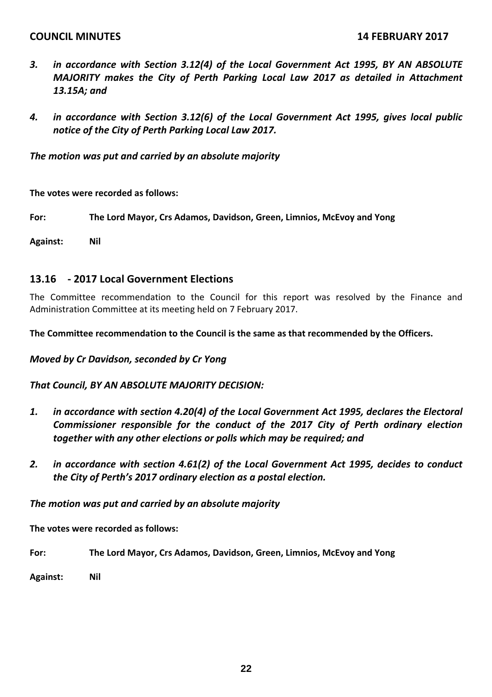- *3. in accordance with Section 3.12(4) of the Local Government Act 1995, BY AN ABSOLUTE MAJORITY makes the City of Perth Parking Local Law 2017 as detailed in Attachment 13.15A; and*
- *4. in accordance with Section 3.12(6) of the Local Government Act 1995, gives local public notice of the City of Perth Parking Local Law 2017.*

*The motion was put and carried by an absolute majority*

**The votes were recorded as follows:**

**For: The Lord Mayor, Crs Adamos, Davidson, Green, Limnios, McEvoy and Yong**

**Against: Nil**

#### **13.16 ‐ 2017 Local Government Elections**

The Committee recommendation to the Council for this report was resolved by the Finance and Administration Committee at its meeting held on 7 February 2017.

**The Committee recommendation to the Council is the same as that recommended by the Officers.**

*Moved by Cr Davidson, seconded by Cr Yong*

*That Council, BY AN ABSOLUTE MAJORITY DECISION:*

- *1. in accordance with section 4.20(4) of the Local Government Act 1995, declares the Electoral Commissioner responsible for the conduct of the 2017 City of Perth ordinary election together with any other elections or polls which may be required; and*
- *2. in accordance with section 4.61(2) of the Local Government Act 1995, decides to conduct the City of Perth's 2017 ordinary election as a postal election.*

*The motion was put and carried by an absolute majority*

**The votes were recorded as follows:**

**For: The Lord Mayor, Crs Adamos, Davidson, Green, Limnios, McEvoy and Yong**

**Against: Nil**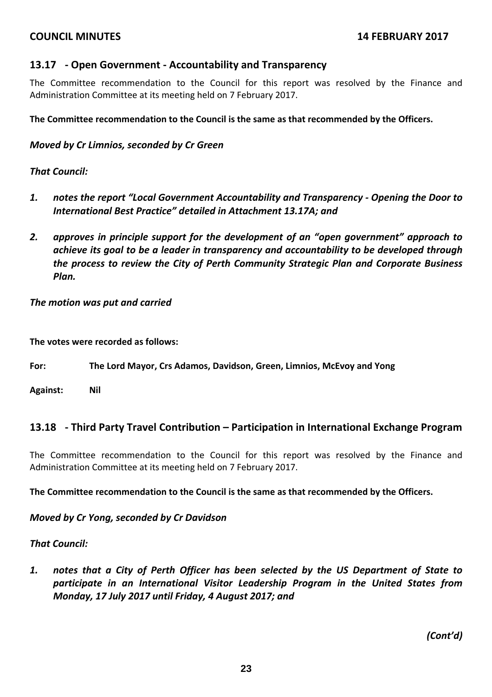## **13.17 ‐ Open Government ‐ Accountability and Transparency**

The Committee recommendation to the Council for this report was resolved by the Finance and Administration Committee at its meeting held on 7 February 2017.

#### **The Committee recommendation to the Council is the same as that recommended by the Officers.**

#### *Moved by Cr Limnios, seconded by Cr Green*

#### *That Council:*

- *1. notes the report "Local Government Accountability and Transparency ‐ Opening the Door to International Best Practice" detailed in Attachment 13.17A; and*
- *2. approves in principle support for the development of an "open government" approach to achieve its goal to be a leader in transparency and accountability to be developed through the process to review the City of Perth Community Strategic Plan and Corporate Business Plan.*

*The motion was put and carried*

**The votes were recorded as follows:**

**For: The Lord Mayor, Crs Adamos, Davidson, Green, Limnios, McEvoy and Yong**

**Against: Nil**

#### **13.18 ‐ Third Party Travel Contribution – Participation in International Exchange Program**

The Committee recommendation to the Council for this report was resolved by the Finance and Administration Committee at its meeting held on 7 February 2017.

**The Committee recommendation to the Council is the same as that recommended by the Officers.**

#### *Moved by Cr Yong, seconded by Cr Davidson*

#### *That Council:*

*1. notes that a City of Perth Officer has been selected by the US Department of State to participate in an International Visitor Leadership Program in the United States from Monday, 17 July 2017 until Friday, 4 August 2017; and*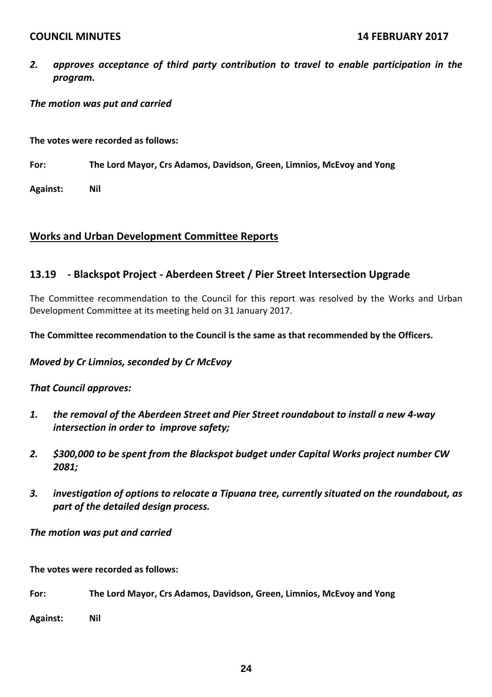*2. approves acceptance of third party contribution to travel to enable participation in the program.*

#### *The motion was put and carried*

**The votes were recorded as follows:**

**For: The Lord Mayor, Crs Adamos, Davidson, Green, Limnios, McEvoy and Yong**

**Against: Nil**

## **Works and Urban Development Committee Reports**

# **13.19 ‐ Blackspot Project ‐ Aberdeen Street / Pier Street Intersection Upgrade**

The Committee recommendation to the Council for this report was resolved by the Works and Urban Development Committee at its meeting held on 31 January 2017.

**The Committee recommendation to the Council is the same as that recommended by the Officers.**

#### *Moved by Cr Limnios, seconded by Cr McEvoy*

#### *That Council approves:*

- *1. the removal of the Aberdeen Street and Pier Street roundabout to install a new 4‐way intersection in order to improve safety;*
- *2. \$300,000 to be spent from the Blackspot budget under Capital Works project number CW 2081;*
- *3. investigation of options to relocate a Tipuana tree, currently situated on the roundabout, as part of the detailed design process.*

#### *The motion was put and carried*

**The votes were recorded as follows:**

**For: The Lord Mayor, Crs Adamos, Davidson, Green, Limnios, McEvoy and Yong**

**Against: Nil**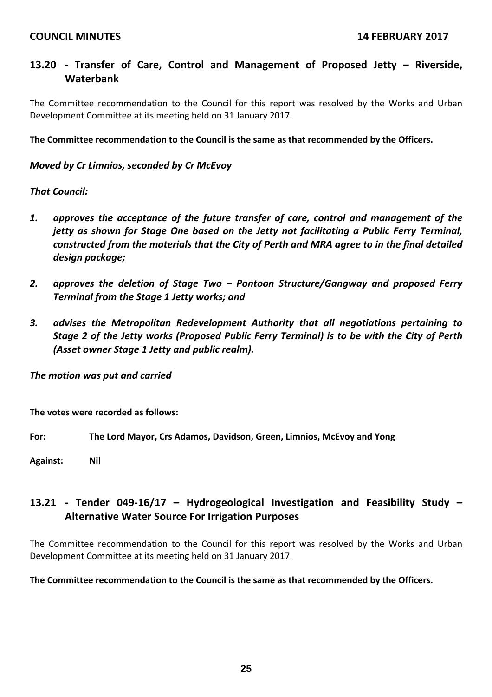# **13.20 ‐ Transfer of Care, Control and Management of Proposed Jetty – Riverside, Waterbank**

The Committee recommendation to the Council for this report was resolved by the Works and Urban Development Committee at its meeting held on 31 January 2017.

**The Committee recommendation to the Council is the same as that recommended by the Officers.**

#### *Moved by Cr Limnios, seconded by Cr McEvoy*

#### *That Council:*

- *1. approves the acceptance of the future transfer of care, control and management of the jetty as shown for Stage One based on the Jetty not facilitating a Public Ferry Terminal, constructed from the materials that the City of Perth and MRA agree to in the final detailed design package;*
- *2. approves the deletion of Stage Two – Pontoon Structure/Gangway and proposed Ferry Terminal from the Stage 1 Jetty works; and*
- *3. advises the Metropolitan Redevelopment Authority that all negotiations pertaining to Stage 2 of the Jetty works (Proposed Public Ferry Terminal) is to be with the City of Perth (Asset owner Stage 1 Jetty and public realm).*

*The motion was put and carried*

**The votes were recorded as follows:**

**For: The Lord Mayor, Crs Adamos, Davidson, Green, Limnios, McEvoy and Yong**

**Against: Nil**

# **13.21 ‐ Tender 049‐16/17 – Hydrogeological Investigation and Feasibility Study – Alternative Water Source For Irrigation Purposes**

The Committee recommendation to the Council for this report was resolved by the Works and Urban Development Committee at its meeting held on 31 January 2017.

#### **The Committee recommendation to the Council is the same as that recommended by the Officers.**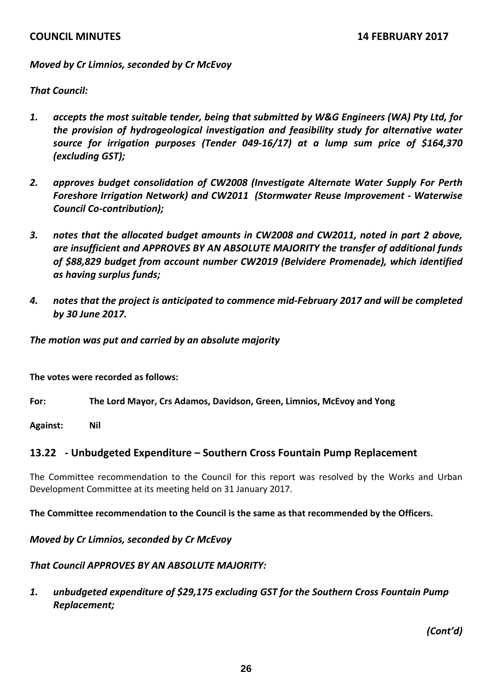## *Moved by Cr Limnios, seconded by Cr McEvoy*

## *That Council:*

- *1. accepts the most suitable tender, being that submitted by W&G Engineers (WA) Pty Ltd, for the provision of hydrogeological investigation and feasibility study for alternative water source for irrigation purposes (Tender 049‐16/17) at a lump sum price of \$164,370 (excluding GST);*
- *2. approves budget consolidation of CW2008 (Investigate Alternate Water Supply For Perth Foreshore Irrigation Network) and CW2011 (Stormwater Reuse Improvement ‐ Waterwise Council Co‐contribution);*
- *3. notes that the allocated budget amounts in CW2008 and CW2011, noted in part 2 above, are insufficient and APPROVES BY AN ABSOLUTE MAJORITY the transfer of additional funds of \$88,829 budget from account number CW2019 (Belvidere Promenade), which identified as having surplus funds;*
- *4. notes that the project is anticipated to commence mid‐February 2017 and will be completed by 30 June 2017.*

*The motion was put and carried by an absolute majority*

**The votes were recorded as follows:**

**For: The Lord Mayor, Crs Adamos, Davidson, Green, Limnios, McEvoy and Yong**

**Against: Nil**

# **13.22 ‐ Unbudgeted Expenditure – Southern Cross Fountain Pump Replacement**

The Committee recommendation to the Council for this report was resolved by the Works and Urban Development Committee at its meeting held on 31 January 2017.

**The Committee recommendation to the Council is the same as that recommended by the Officers.**

*Moved by Cr Limnios, seconded by Cr McEvoy*

#### *That Council APPROVES BY AN ABSOLUTE MAJORITY:*

*1. unbudgeted expenditure of \$29,175 excluding GST for the Southern Cross Fountain Pump Replacement;*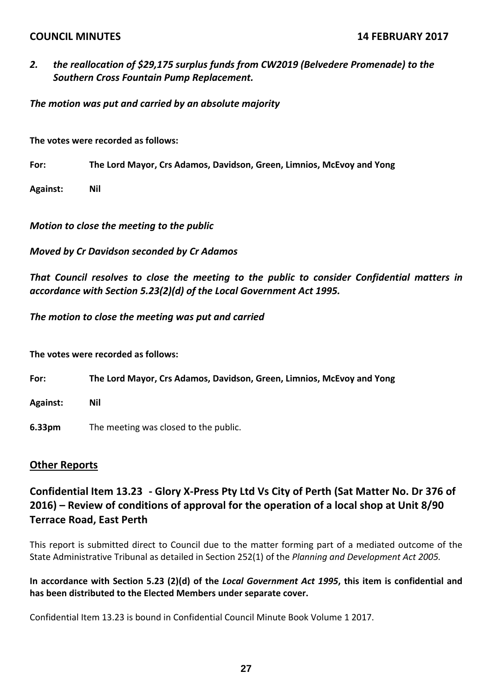*2. the reallocation of \$29,175 surplus funds from CW2019 (Belvedere Promenade) to the Southern Cross Fountain Pump Replacement.*

*The motion was put and carried by an absolute majority*

**The votes were recorded as follows:**

**For: The Lord Mayor, Crs Adamos, Davidson, Green, Limnios, McEvoy and Yong**

**Against: Nil**

*Motion to close the meeting to the public*

*Moved by Cr Davidson seconded by Cr Adamos*

*That Council resolves to close the meeting to the public to consider Confidential matters in accordance with Section 5.23(2)(d) of the Local Government Act 1995.*

*The motion to close the meeting was put and carried*

**The votes were recorded as follows:**

**For: The Lord Mayor, Crs Adamos, Davidson, Green, Limnios, McEvoy and Yong**

**Against: Nil**

**6.33pm** The meeting was closed to the public.

#### **Other Reports**

Confidential Item 13.23 - Glory X-Press Pty Ltd Vs City of Perth (Sat Matter No. Dr 376 of **2016) – Review of conditions of approval for the operation of a local shop at Unit 8/90 Terrace Road, East Perth**

This report is submitted direct to Council due to the matter forming part of a mediated outcome of the State Administrative Tribunal as detailed in Section 252(1) of the *Planning and Development Act 2005.*

In accordance with Section 5.23 (2)(d) of the Local Government Act 1995, this item is confidential and **has been distributed to the Elected Members under separate cover.**

Confidential Item 13.23 is bound in Confidential Council Minute Book Volume 1 2017.